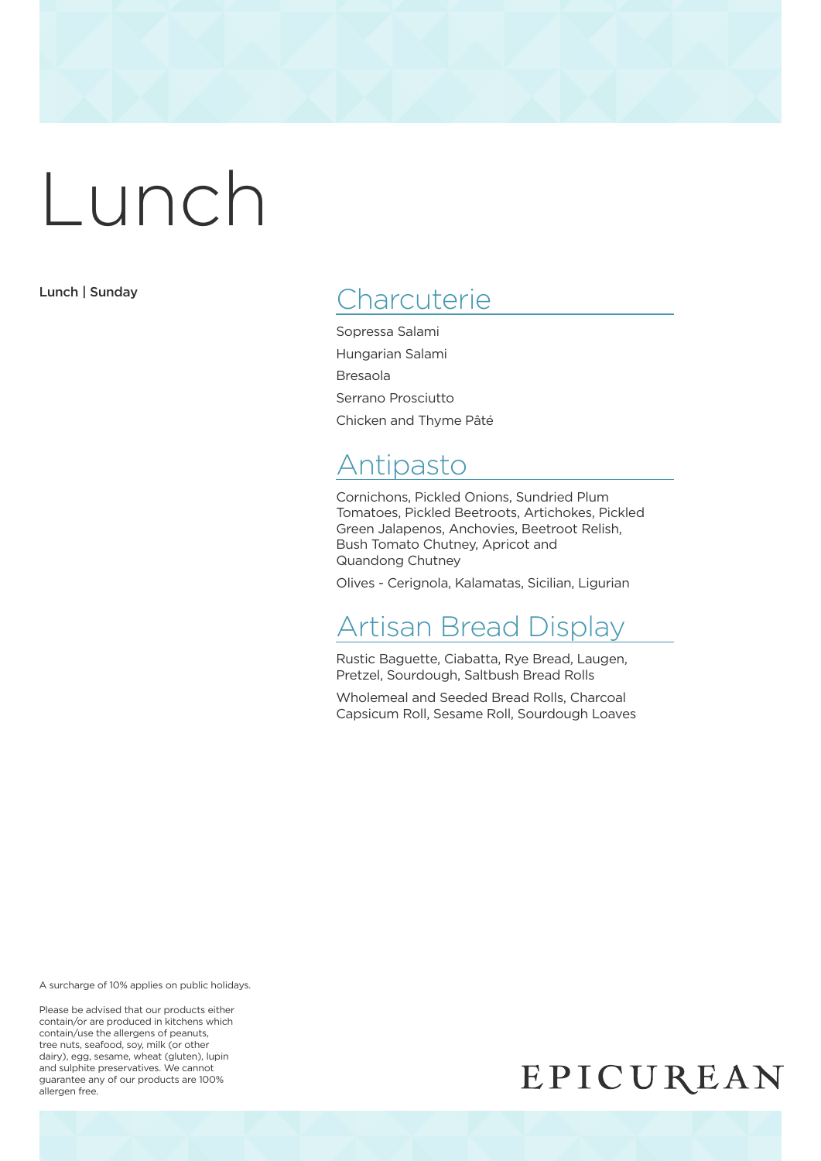Lunch | Sunday

### **Charcuterie**

Sopressa Salami Hungarian Salami Bresaola Serrano Prosciutto Chicken and Thyme Pâté

### Antipasto

Cornichons, Pickled Onions, Sundried Plum Tomatoes, Pickled Beetroots, Artichokes, Pickled Green Jalapenos, Anchovies, Beetroot Relish, Bush Tomato Chutney, Apricot and Quandong Chutney

Olives - Cerignola, Kalamatas, Sicilian, Ligurian

### Artisan Bread Display

Rustic Baguette, Ciabatta, Rye Bread, Laugen, Pretzel, Sourdough, Saltbush Bread Rolls

Wholemeal and Seeded Bread Rolls, Charcoal Capsicum Roll, Sesame Roll, Sourdough Loaves

A surcharge of 10% applies on public holidays.

Please be advised that our products either contain/or are produced in kitchens which contain/use the allergens of peanuts, tree nuts, seafood, soy, milk (or other dairy), egg, sesame, wheat (gluten), lupin and sulphite preservatives. We cannot guarantee any of our products are 100% allergen free.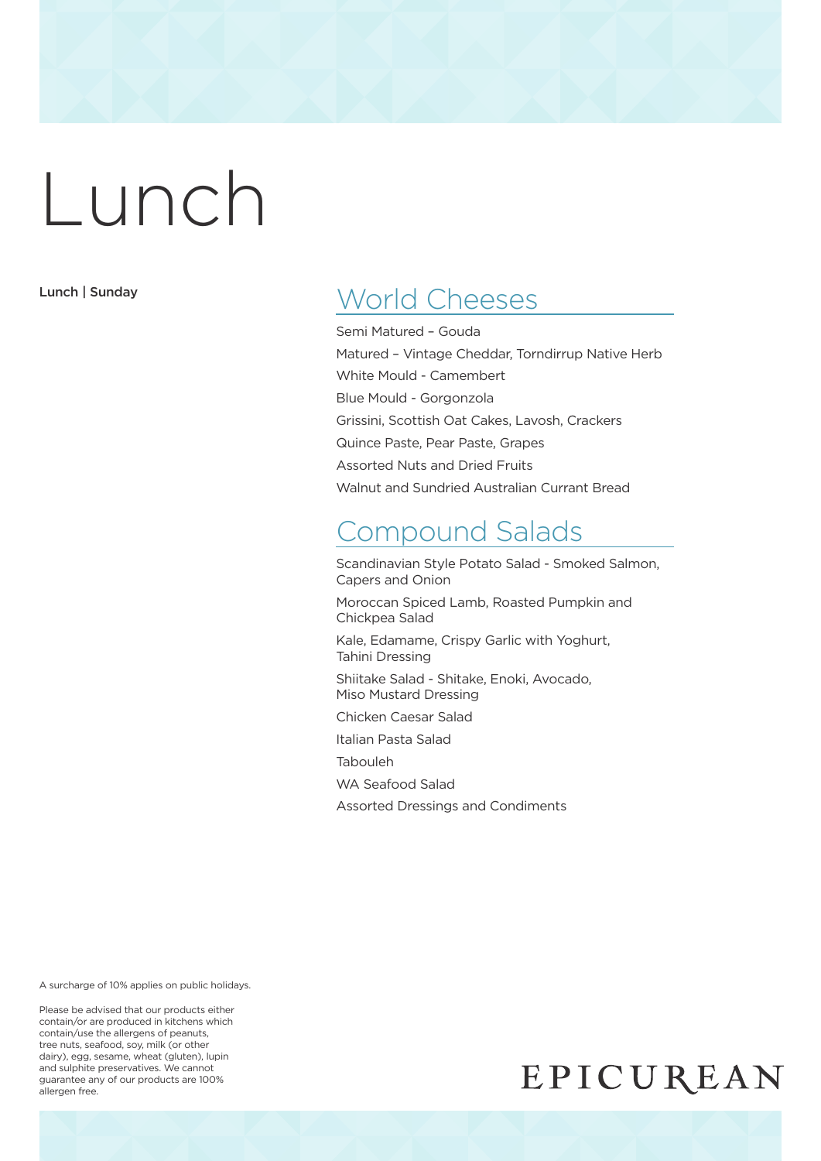Lunch | Sunday

### World Cheeses

Semi Matured – Gouda Matured – Vintage Cheddar, Torndirrup Native Herb White Mould - Camembert Blue Mould - Gorgonzola Grissini, Scottish Oat Cakes, Lavosh, Crackers Quince Paste, Pear Paste, Grapes Assorted Nuts and Dried Fruits Walnut and Sundried Australian Currant Bread

### Compound Salads

Scandinavian Style Potato Salad - Smoked Salmon, Capers and Onion

Moroccan Spiced Lamb, Roasted Pumpkin and Chickpea Salad

Kale, Edamame, Crispy Garlic with Yoghurt, Tahini Dressing

Shiitake Salad - Shitake, Enoki, Avocado, Miso Mustard Dressing

Chicken Caesar Salad

Italian Pasta Salad

Tabouleh

WA Seafood Salad

Assorted Dressings and Condiments

A surcharge of 10% applies on public holidays.

Please be advised that our products either contain/or are produced in kitchens which contain/use the allergens of peanuts, tree nuts, seafood, soy, milk (or other dairy), egg, sesame, wheat (gluten), lupin and sulphite preservatives. We cannot guarantee any of our products are 100% allergen free.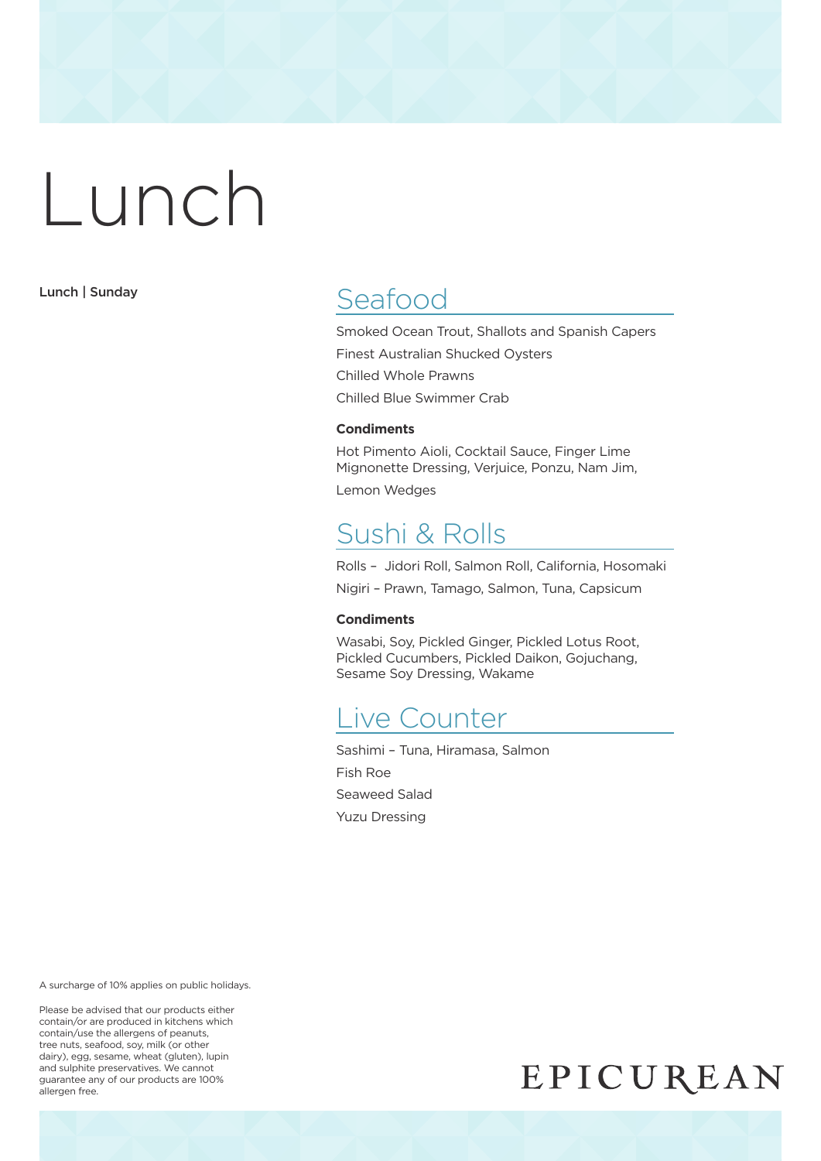Lunch | Sunday

### Seafood

Smoked Ocean Trout, Shallots and Spanish Capers Finest Australian Shucked Oysters Chilled Whole Prawns Chilled Blue Swimmer Crab

#### **Condiments**

Hot Pimento Aioli, Cocktail Sauce, Finger Lime Mignonette Dressing, Verjuice, Ponzu, Nam Jim,

Lemon Wedges

#### Sushi & Rolls

Rolls – Jidori Roll, Salmon Roll, California, Hosomaki

Nigiri – Prawn, Tamago, Salmon, Tuna, Capsicum

#### **Condiments**

Wasabi, Soy, Pickled Ginger, Pickled Lotus Root, Pickled Cucumbers, Pickled Daikon, Gojuchang, Sesame Soy Dressing, Wakame

#### Live Counter

Sashimi – Tuna, Hiramasa, Salmon Fish Roe Seaweed Salad Yuzu Dressing

A surcharge of 10% applies on public holidays.

Please be advised that our products either contain/or are produced in kitchens which contain/use the allergens of peanuts, tree nuts, seafood, soy, milk (or other dairy), egg, sesame, wheat (gluten), lupin and sulphite preservatives. We cannot guarantee any of our products are 100% allergen free.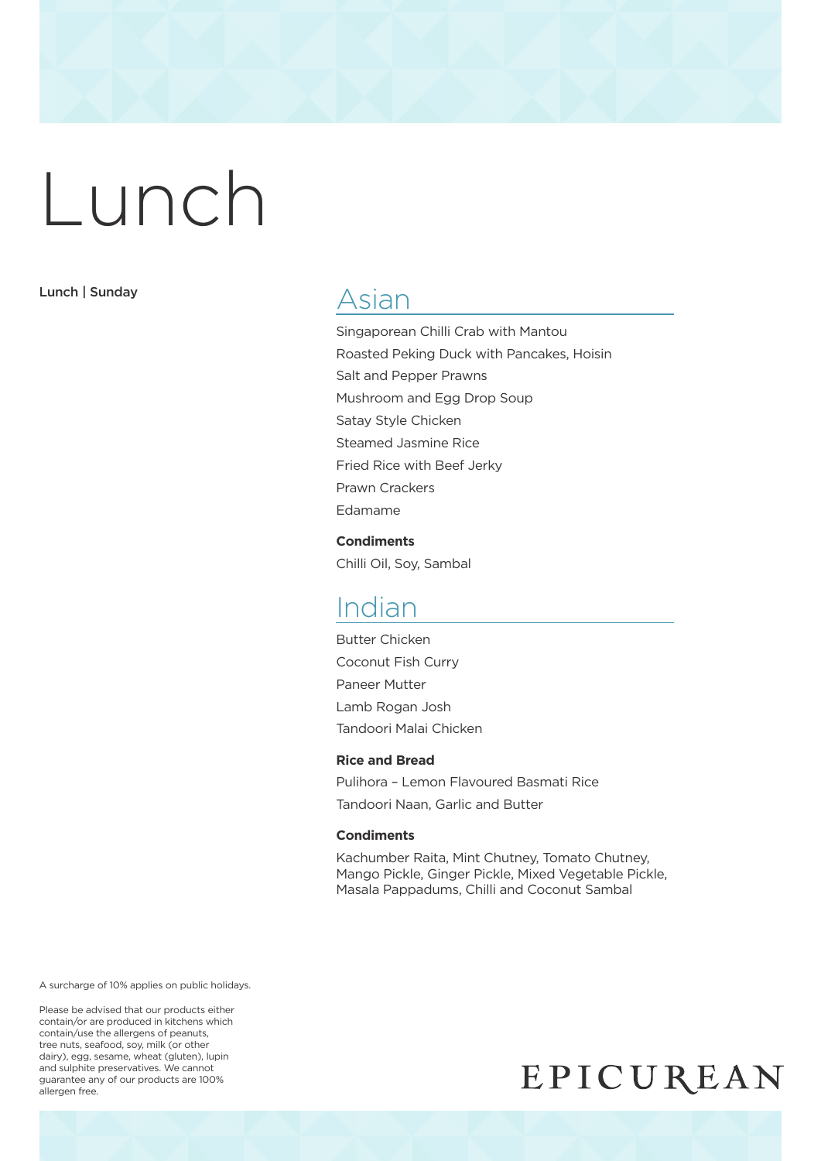#### Lunch | Sunday

#### Asian

Singaporean Chilli Crab with Mantou Roasted Peking Duck with Pancakes, Hoisin Salt and Pepper Prawns Mushroom and Egg Drop Soup Satay Style Chicken Steamed Jasmine Rice Fried Rice with Beef Jerky Prawn Crackers Edamame

**Condiments** Chilli Oil, Soy, Sambal

#### Indian

Butter Chicken Coconut Fish Curry Paneer Mutter Lamb Rogan Josh Tandoori Malai Chicken

#### **Rice and Bread**

Pulihora – Lemon Flavoured Basmati Rice Tandoori Naan, Garlic and Butter

#### **Condiments**

Kachumber Raita, Mint Chutney, Tomato Chutney, Mango Pickle, Ginger Pickle, Mixed Vegetable Pickle, Masala Pappadums, Chilli and Coconut Sambal

A surcharge of 10% applies on public holidays.

Please be advised that our products either contain/or are produced in kitchens which contain/use the allergens of peanuts, tree nuts, seafood, soy, milk (or other dairy), egg, sesame, wheat (gluten), lupin and sulphite preservatives. We cannot guarantee any of our products are 100% allergen free.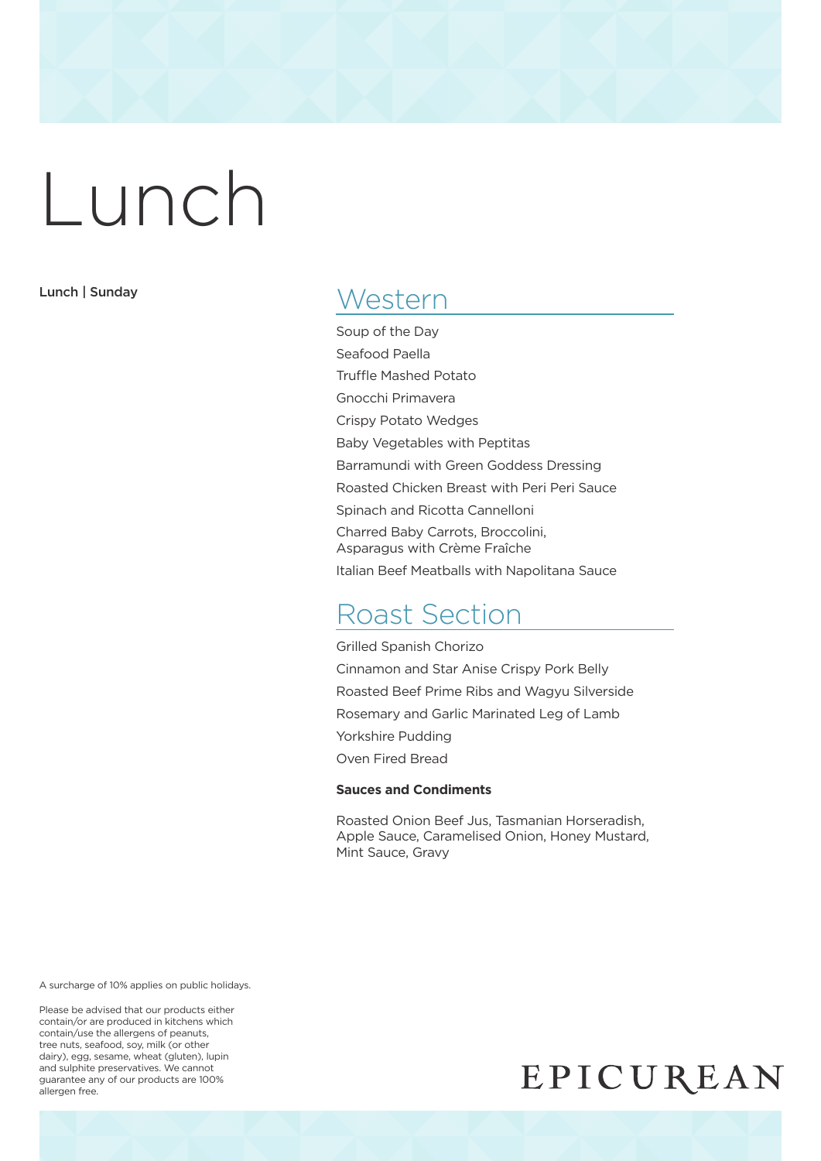Lunch | Sunday

#### **Western**

Soup of the Day Seafood Paella Truffle Mashed Potato Gnocchi Primavera Crispy Potato Wedges Baby Vegetables with Peptitas Barramundi with Green Goddess Dressing Roasted Chicken Breast with Peri Peri Sauce Spinach and Ricotta Cannelloni Charred Baby Carrots, Broccolini, Asparagus with Crème Fraîche Italian Beef Meatballs with Napolitana Sauce

### Roast Section

Grilled Spanish Chorizo Cinnamon and Star Anise Crispy Pork Belly Roasted Beef Prime Ribs and Wagyu Silverside Rosemary and Garlic Marinated Leg of Lamb Yorkshire Pudding Oven Fired Bread

#### **Sauces and Condiments**

Roasted Onion Beef Jus, Tasmanian Horseradish, Apple Sauce, Caramelised Onion, Honey Mustard, Mint Sauce, Gravy

A surcharge of 10% applies on public holidays.

Please be advised that our products either contain/or are produced in kitchens which contain/use the allergens of peanuts, tree nuts, seafood, soy, milk (or other dairy), egg, sesame, wheat (gluten), lupin and sulphite preservatives. We cannot guarantee any of our products are 100% allergen free.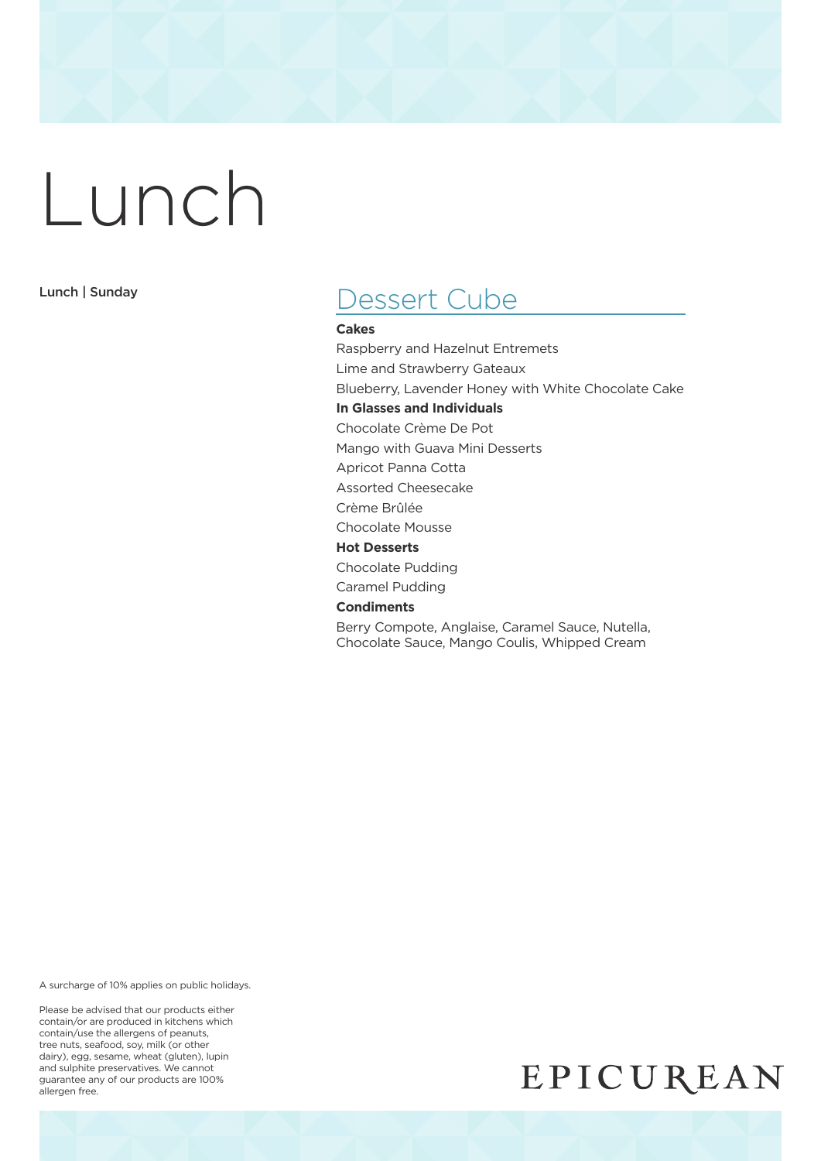Lunch | Sunday

#### Dessert Cube

#### **Cakes**

Raspberry and Hazelnut Entremets Lime and Strawberry Gateaux Blueberry, Lavender Honey with White Chocolate Cake **In Glasses and Individuals** Chocolate Crème De Pot Mango with Guava Mini Desserts Apricot Panna Cotta Assorted Cheesecake Crème Brûlée Chocolate Mousse **Hot Desserts** Chocolate Pudding Caramel Pudding **Condiments** Berry Compote, Anglaise, Caramel Sauce, Nutella, Chocolate Sauce, Mango Coulis, Whipped Cream

A surcharge of 10% applies on public holidays.

Please be advised that our products either contain/or are produced in kitchens which contain/use the allergens of peanuts, tree nuts, seafood, soy, milk (or other dairy), egg, sesame, wheat (gluten), lupin and sulphite preservatives. We cannot guarantee any of our products are 100% allergen free.